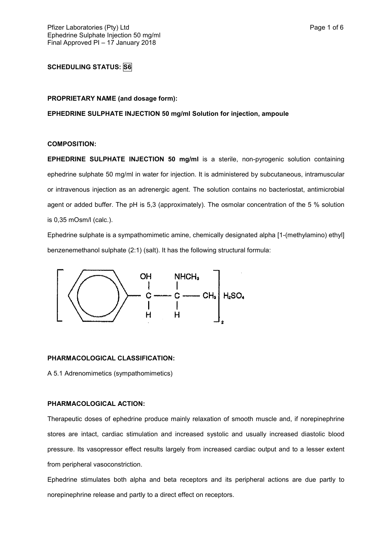# **SCHEDULING STATUS: S6**

#### **PROPRIETARY NAME (and dosage form):**

**EPHEDRINE SULPHATE INJECTION 50 mg/ml Solution for injection, ampoule**

#### **COMPOSITION:**

**EPHEDRINE SULPHATE INJECTION 50 mg/ml** is a sterile, non-pyrogenic solution containing ephedrine sulphate 50 mg/ml in water for injection. It is administered by subcutaneous, intramuscular or intravenous injection as an adrenergic agent. The solution contains no bacteriostat, antimicrobial agent or added buffer. The pH is 5,3 (approximately). The osmolar concentration of the 5 % solution is 0,35 mOsm/l (calc.).

Ephedrine sulphate is a sympathomimetic amine, chemically designated alpha [1-(methylamino) ethyl] benzenemethanol sulphate (2:1) (salt). It has the following structural formula:



### **PHARMACOLOGICAL CLASSIFICATION:**

A 5.1 Adrenomimetics (sympathomimetics)

#### **PHARMACOLOGICAL ACTION:**

Therapeutic doses of ephedrine produce mainly relaxation of smooth muscle and, if norepinephrine stores are intact, cardiac stimulation and increased systolic and usually increased diastolic blood pressure. Its vasopressor effect results largely from increased cardiac output and to a lesser extent from peripheral vasoconstriction.

Ephedrine stimulates both alpha and beta receptors and its peripheral actions are due partly to norepinephrine release and partly to a direct effect on receptors.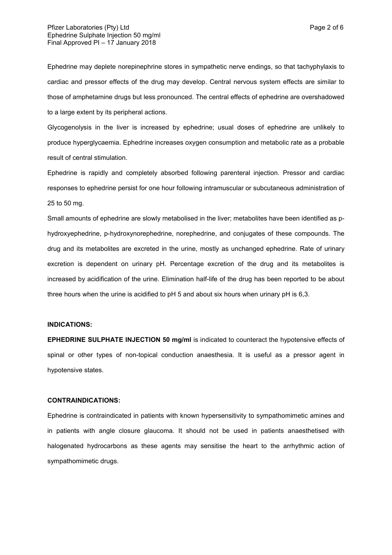Ephedrine may deplete norepinephrine stores in sympathetic nerve endings, so that tachyphylaxis to cardiac and pressor effects of the drug may develop. Central nervous system effects are similar to those of amphetamine drugs but less pronounced. The central effects of ephedrine are overshadowed to a large extent by its peripheral actions.

Glycogenolysis in the liver is increased by ephedrine; usual doses of ephedrine are unlikely to produce hyperglycaemia. Ephedrine increases oxygen consumption and metabolic rate as a probable result of central stimulation.

Ephedrine is rapidly and completely absorbed following parenteral injection. Pressor and cardiac responses to ephedrine persist for one hour following intramuscular or subcutaneous administration of 25 to 50 mg.

Small amounts of ephedrine are slowly metabolised in the liver; metabolites have been identified as phydroxyephedrine, p-hydroxynorephedrine, norephedrine, and conjugates of these compounds. The drug and its metabolites are excreted in the urine, mostly as unchanged ephedrine. Rate of urinary excretion is dependent on urinary pH. Percentage excretion of the drug and its metabolites is increased by acidification of the urine. Elimination half-life of the drug has been reported to be about three hours when the urine is acidified to pH 5 and about six hours when urinary pH is 6,3.

#### **INDICATIONS:**

**EPHEDRINE SULPHATE INJECTION 50 mg/ml** is indicated to counteract the hypotensive effects of spinal or other types of non-topical conduction anaesthesia. It is useful as a pressor agent in hypotensive states.

#### **CONTRAINDICATIONS:**

Ephedrine is contraindicated in patients with known hypersensitivity to sympathomimetic amines and in patients with angle closure glaucoma. It should not be used in patients anaesthetised with halogenated hydrocarbons as these agents may sensitise the heart to the arrhythmic action of sympathomimetic drugs.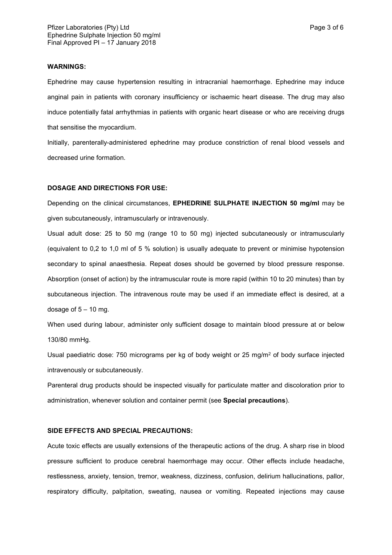#### **WARNINGS:**

Ephedrine may cause hypertension resulting in intracranial haemorrhage. Ephedrine may induce anginal pain in patients with coronary insufficiency or ischaemic heart disease. The drug may also induce potentially fatal arrhythmias in patients with organic heart disease or who are receiving drugs that sensitise the myocardium.

Initially, parenterally-administered ephedrine may produce constriction of renal blood vessels and decreased urine formation.

#### **DOSAGE AND DIRECTIONS FOR USE:**

Depending on the clinical circumstances, **EPHEDRINE SULPHATE INJECTION 50 mg/ml** may be given subcutaneously, intramuscularly or intravenously.

Usual adult dose: 25 to 50 mg (range 10 to 50 mg) injected subcutaneously or intramuscularly (equivalent to 0,2 to 1,0 ml of 5 % solution) is usually adequate to prevent or minimise hypotension secondary to spinal anaesthesia. Repeat doses should be governed by blood pressure response. Absorption (onset of action) by the intramuscular route is more rapid (within 10 to 20 minutes) than by subcutaneous injection. The intravenous route may be used if an immediate effect is desired, at a dosage of  $5 - 10$  mg.

When used during labour, administer only sufficient dosage to maintain blood pressure at or below 130/80 mmHg.

Usual paediatric dose: 750 micrograms per kg of body weight or 25 mg/m<sup>2</sup> of body surface injected intravenously or subcutaneously.

Parenteral drug products should be inspected visually for particulate matter and discoloration prior to administration, whenever solution and container permit (see **Special precautions**).

### **SIDE EFFECTS AND SPECIAL PRECAUTIONS:**

Acute toxic effects are usually extensions of the therapeutic actions of the drug. A sharp rise in blood pressure sufficient to produce cerebral haemorrhage may occur. Other effects include headache, restlessness, anxiety, tension, tremor, weakness, dizziness, confusion, delirium hallucinations, pallor, respiratory difficulty, palpitation, sweating, nausea or vomiting. Repeated injections may cause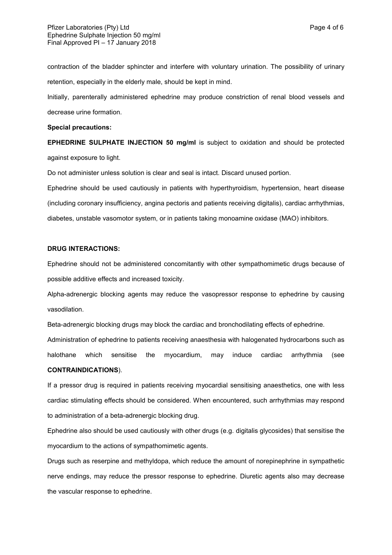contraction of the bladder sphincter and interfere with voluntary urination. The possibility of urinary retention, especially in the elderly male, should be kept in mind.

Initially, parenterally administered ephedrine may produce constriction of renal blood vessels and decrease urine formation.

#### **Special precautions:**

**EPHEDRINE SULPHATE INJECTION 50 mg/ml** is subject to oxidation and should be protected against exposure to light.

Do not administer unless solution is clear and seal is intact. Discard unused portion.

Ephedrine should be used cautiously in patients with hyperthyroidism, hypertension, heart disease (including coronary insufficiency, angina pectoris and patients receiving digitalis), cardiac arrhythmias, diabetes, unstable vasomotor system, or in patients taking monoamine oxidase (MAO) inhibitors.

### **DRUG INTERACTIONS:**

Ephedrine should not be administered concomitantly with other sympathomimetic drugs because of possible additive effects and increased toxicity.

Alpha-adrenergic blocking agents may reduce the vasopressor response to ephedrine by causing vasodilation.

Beta-adrenergic blocking drugs may block the cardiac and bronchodilating effects of ephedrine.

Administration of ephedrine to patients receiving anaesthesia with halogenated hydrocarbons such as halothane which sensitise the myocardium, may induce cardiac arrhythmia (see **CONTRAINDICATIONS**).

If a pressor drug is required in patients receiving myocardial sensitising anaesthetics, one with less cardiac stimulating effects should be considered. When encountered, such arrhythmias may respond to administration of a beta-adrenergic blocking drug.

Ephedrine also should be used cautiously with other drugs (e.g. digitalis glycosides) that sensitise the myocardium to the actions of sympathomimetic agents.

Drugs such as reserpine and methyldopa, which reduce the amount of norepinephrine in sympathetic nerve endings, may reduce the pressor response to ephedrine. Diuretic agents also may decrease the vascular response to ephedrine.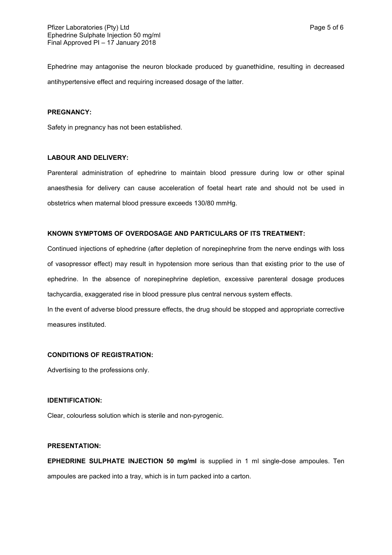Ephedrine may antagonise the neuron blockade produced by guanethidine, resulting in decreased antihypertensive effect and requiring increased dosage of the latter.

### **PREGNANCY:**

Safety in pregnancy has not been established.

### **LABOUR AND DELIVERY:**

Parenteral administration of ephedrine to maintain blood pressure during low or other spinal anaesthesia for delivery can cause acceleration of foetal heart rate and should not be used in obstetrics when maternal blood pressure exceeds 130/80 mmHg.

#### **KNOWN SYMPTOMS OF OVERDOSAGE AND PARTICULARS OF ITS TREATMENT:**

Continued injections of ephedrine (after depletion of norepinephrine from the nerve endings with loss of vasopressor effect) may result in hypotension more serious than that existing prior to the use of ephedrine. In the absence of norepinephrine depletion, excessive parenteral dosage produces tachycardia, exaggerated rise in blood pressure plus central nervous system effects.

In the event of adverse blood pressure effects, the drug should be stopped and appropriate corrective measures instituted.

#### **CONDITIONS OF REGISTRATION:**

Advertising to the professions only.

### **IDENTIFICATION:**

Clear, colourless solution which is sterile and non-pyrogenic.

#### **PRESENTATION:**

**EPHEDRINE SULPHATE INJECTION 50 mg/ml** is supplied in 1 ml single-dose ampoules. Ten ampoules are packed into a tray, which is in turn packed into a carton.